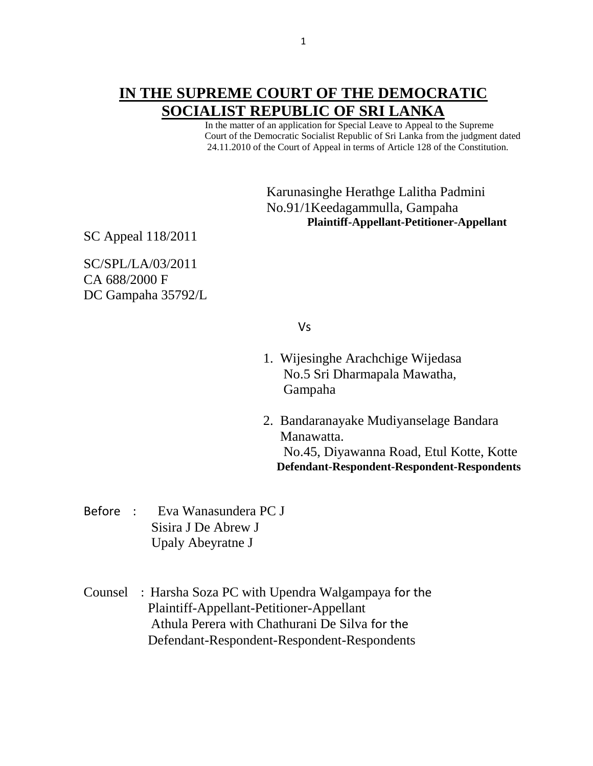## **IN THE SUPREME COURT OF THE DEMOCRATIC SOCIALIST REPUBLIC OF SRI LANKA**

 In the matter of an application for Special Leave to Appeal to the Supreme Court of the Democratic Socialist Republic of Sri Lanka from the judgment dated 24.11.2010 of the Court of Appeal in terms of Article 128 of the Constitution.

> Karunasinghe Herathge Lalitha Padmini No.91/1Keedagammulla, Gampaha **Plaintiff-Appellant-Petitioner-Appellant**

SC Appeal 118/2011

SC/SPL/LA/03/2011 CA 688/2000 F DC Gampaha 35792/L

Vs

- 1. Wijesinghe Arachchige Wijedasa No.5 Sri Dharmapala Mawatha, Gampaha
- 2. Bandaranayake Mudiyanselage Bandara Manawatta. No.45, Diyawanna Road, Etul Kotte, Kotte **Defendant-Respondent-Respondent-Respondents**
- Before : Eva Wanasundera PC J Sisira J De Abrew J Upaly Abeyratne J

Counsel : Harsha Soza PC with Upendra Walgampaya for the Plaintiff-Appellant-Petitioner-Appellant Athula Perera with Chathurani De Silva for the Defendant-Respondent-Respondent-Respondents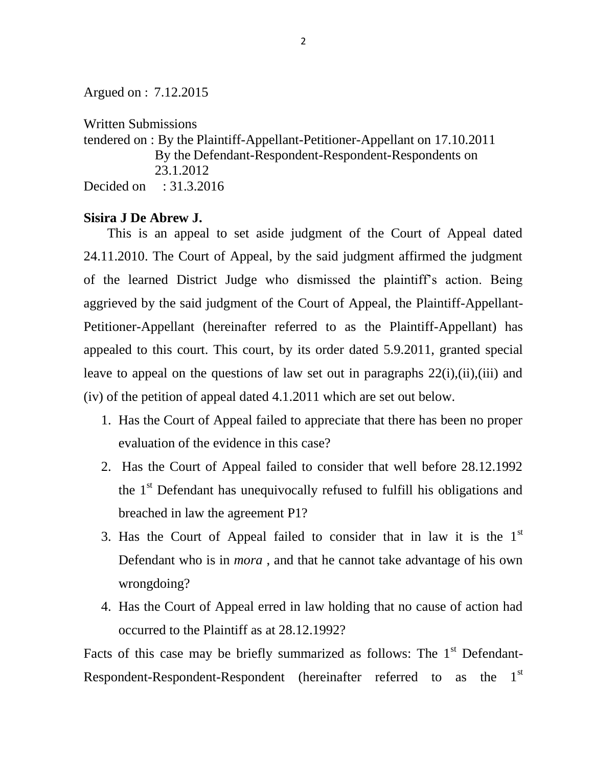Argued on : 7.12.2015

Written Submissions

tendered on : By the Plaintiff-Appellant-Petitioner-Appellant on 17.10.2011 By the Defendant-Respondent-Respondent-Respondents on 23.1.2012 Decided on : 31.3.2016

## **Sisira J De Abrew J.**

This is an appeal to set aside judgment of the Court of Appeal dated 24.11.2010. The Court of Appeal, by the said judgment affirmed the judgment of the learned District Judge who dismissed the plaintiff's action. Being aggrieved by the said judgment of the Court of Appeal, the Plaintiff-Appellant-Petitioner-Appellant (hereinafter referred to as the Plaintiff-Appellant) has appealed to this court. This court, by its order dated 5.9.2011, granted special leave to appeal on the questions of law set out in paragraphs 22(i),(ii),(iii) and (iv) of the petition of appeal dated 4.1.2011 which are set out below.

- 1. Has the Court of Appeal failed to appreciate that there has been no proper evaluation of the evidence in this case?
- 2. Has the Court of Appeal failed to consider that well before 28.12.1992 the  $1<sup>st</sup>$  Defendant has unequivocally refused to fulfill his obligations and breached in law the agreement P1?
- 3. Has the Court of Appeal failed to consider that in law it is the  $1<sup>st</sup>$ Defendant who is in *mora* , and that he cannot take advantage of his own wrongdoing?
- 4. Has the Court of Appeal erred in law holding that no cause of action had occurred to the Plaintiff as at 28.12.1992?

Facts of this case may be briefly summarized as follows: The  $1<sup>st</sup>$  Defendant-Respondent-Respondent-Respondent (hereinafter referred to as the 1<sup>st</sup>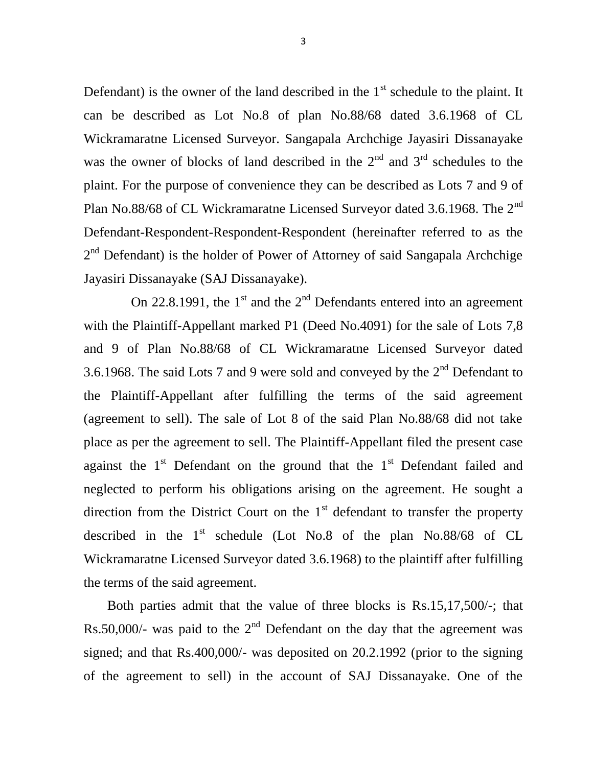Defendant) is the owner of the land described in the  $1<sup>st</sup>$  schedule to the plaint. It can be described as Lot No.8 of plan No.88/68 dated 3.6.1968 of CL Wickramaratne Licensed Surveyor. Sangapala Archchige Jayasiri Dissanayake was the owner of blocks of land described in the  $2<sup>nd</sup>$  and  $3<sup>rd</sup>$  schedules to the plaint. For the purpose of convenience they can be described as Lots 7 and 9 of Plan No.88/68 of CL Wickramaratne Licensed Surveyor dated 3.6.1968. The 2<sup>nd</sup> Defendant-Respondent-Respondent-Respondent (hereinafter referred to as the  $2<sup>nd</sup>$  Defendant) is the holder of Power of Attorney of said Sangapala Archchige Jayasiri Dissanayake (SAJ Dissanayake).

On 22.8.1991, the  $1<sup>st</sup>$  and the  $2<sup>nd</sup>$  Defendants entered into an agreement with the Plaintiff-Appellant marked P1 (Deed No.4091) for the sale of Lots 7,8 and 9 of Plan No.88/68 of CL Wickramaratne Licensed Surveyor dated 3.6.1968. The said Lots 7 and 9 were sold and conveyed by the  $2<sup>nd</sup>$  Defendant to the Plaintiff-Appellant after fulfilling the terms of the said agreement (agreement to sell). The sale of Lot 8 of the said Plan No.88/68 did not take place as per the agreement to sell. The Plaintiff-Appellant filed the present case against the  $1<sup>st</sup>$  Defendant on the ground that the  $1<sup>st</sup>$  Defendant failed and neglected to perform his obligations arising on the agreement. He sought a direction from the District Court on the  $1<sup>st</sup>$  defendant to transfer the property described in the  $1<sup>st</sup>$  schedule (Lot No.8 of the plan No.88/68 of CL Wickramaratne Licensed Surveyor dated 3.6.1968) to the plaintiff after fulfilling the terms of the said agreement.

 Both parties admit that the value of three blocks is Rs.15,17,500/-; that Rs.50,000/- was paid to the  $2<sup>nd</sup>$  Defendant on the day that the agreement was signed; and that Rs.400,000/- was deposited on 20.2.1992 (prior to the signing of the agreement to sell) in the account of SAJ Dissanayake. One of the

3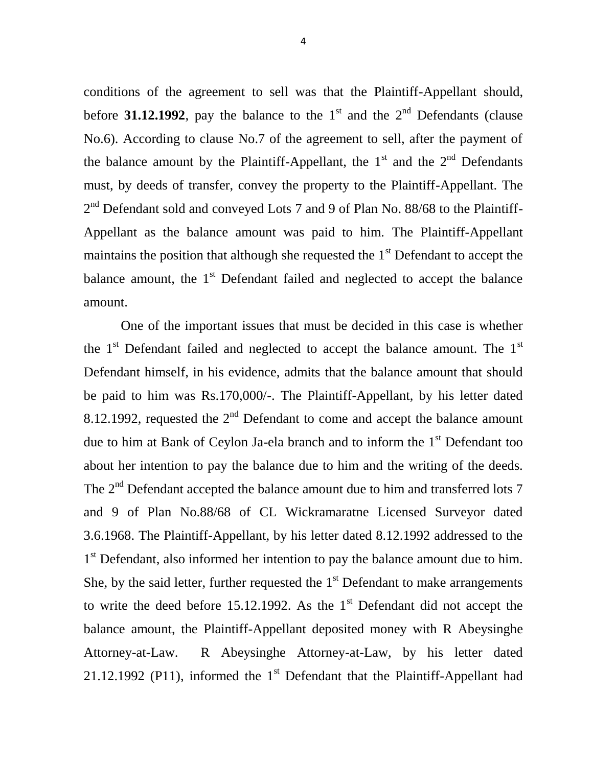conditions of the agreement to sell was that the Plaintiff-Appellant should, before **31.12.1992**, pay the balance to the  $1<sup>st</sup>$  and the  $2<sup>nd</sup>$  Defendants (clause No.6). According to clause No.7 of the agreement to sell, after the payment of the balance amount by the Plaintiff-Appellant, the  $1<sup>st</sup>$  and the  $2<sup>nd</sup>$  Defendants must, by deeds of transfer, convey the property to the Plaintiff-Appellant. The  $2<sup>nd</sup>$  Defendant sold and conveyed Lots 7 and 9 of Plan No. 88/68 to the Plaintiff-Appellant as the balance amount was paid to him. The Plaintiff-Appellant maintains the position that although she requested the  $1<sup>st</sup>$  Defendant to accept the balance amount, the  $1<sup>st</sup>$  Defendant failed and neglected to accept the balance amount.

 One of the important issues that must be decided in this case is whether the  $1<sup>st</sup>$  Defendant failed and neglected to accept the balance amount. The  $1<sup>st</sup>$ Defendant himself, in his evidence, admits that the balance amount that should be paid to him was Rs.170,000/-. The Plaintiff-Appellant, by his letter dated 8.12.1992, requested the  $2<sup>nd</sup>$  Defendant to come and accept the balance amount due to him at Bank of Ceylon Ja-ela branch and to inform the  $1<sup>st</sup>$  Defendant too about her intention to pay the balance due to him and the writing of the deeds. The  $2<sup>nd</sup>$  Defendant accepted the balance amount due to him and transferred lots 7 and 9 of Plan No.88/68 of CL Wickramaratne Licensed Surveyor dated 3.6.1968. The Plaintiff-Appellant, by his letter dated 8.12.1992 addressed to the 1<sup>st</sup> Defendant, also informed her intention to pay the balance amount due to him. She, by the said letter, further requested the  $1<sup>st</sup>$  Defendant to make arrangements to write the deed before 15.12.1992. As the  $1<sup>st</sup>$  Defendant did not accept the balance amount, the Plaintiff-Appellant deposited money with R Abeysinghe Attorney-at-Law. R Abeysinghe Attorney-at-Law, by his letter dated 21.12.1992 (P11), informed the  $1<sup>st</sup>$  Defendant that the Plaintiff-Appellant had

4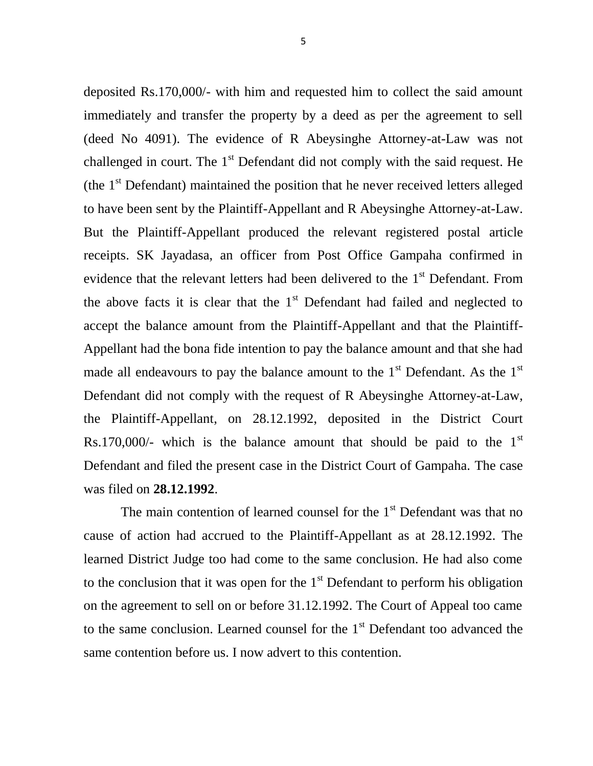deposited Rs.170,000/- with him and requested him to collect the said amount immediately and transfer the property by a deed as per the agreement to sell (deed No 4091). The evidence of R Abeysinghe Attorney-at-Law was not challenged in court. The  $1<sup>st</sup>$  Defendant did not comply with the said request. He (the  $1<sup>st</sup>$  Defendant) maintained the position that he never received letters alleged to have been sent by the Plaintiff-Appellant and R Abeysinghe Attorney-at-Law. But the Plaintiff-Appellant produced the relevant registered postal article receipts. SK Jayadasa, an officer from Post Office Gampaha confirmed in evidence that the relevant letters had been delivered to the 1<sup>st</sup> Defendant. From the above facts it is clear that the  $1<sup>st</sup>$  Defendant had failed and neglected to accept the balance amount from the Plaintiff-Appellant and that the Plaintiff-Appellant had the bona fide intention to pay the balance amount and that she had made all endeavours to pay the balance amount to the  $1<sup>st</sup>$  Defendant. As the  $1<sup>st</sup>$ Defendant did not comply with the request of R Abeysinghe Attorney-at-Law, the Plaintiff-Appellant, on 28.12.1992, deposited in the District Court Rs.170,000/- which is the balance amount that should be paid to the  $1<sup>st</sup>$ Defendant and filed the present case in the District Court of Gampaha. The case was filed on **28.12.1992**.

The main contention of learned counsel for the  $1<sup>st</sup>$  Defendant was that no cause of action had accrued to the Plaintiff-Appellant as at 28.12.1992. The learned District Judge too had come to the same conclusion. He had also come to the conclusion that it was open for the  $1<sup>st</sup>$  Defendant to perform his obligation on the agreement to sell on or before 31.12.1992. The Court of Appeal too came to the same conclusion. Learned counsel for the  $1<sup>st</sup>$  Defendant too advanced the same contention before us. I now advert to this contention.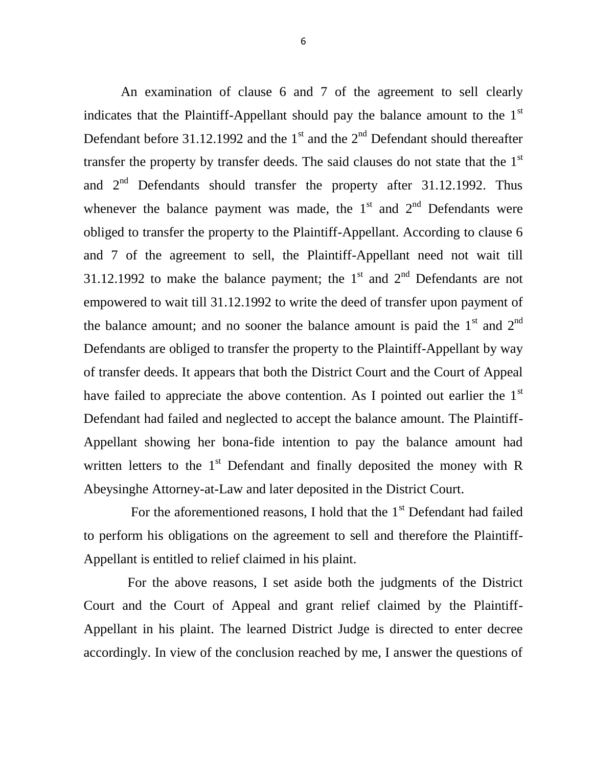An examination of clause 6 and 7 of the agreement to sell clearly indicates that the Plaintiff-Appellant should pay the balance amount to the  $1<sup>st</sup>$ Defendant before 31.12.1992 and the  $1<sup>st</sup>$  and the  $2<sup>nd</sup>$  Defendant should thereafter transfer the property by transfer deeds. The said clauses do not state that the  $1<sup>st</sup>$ and  $2<sup>nd</sup>$  Defendants should transfer the property after 31.12.1992. Thus whenever the balance payment was made, the  $1<sup>st</sup>$  and  $2<sup>nd</sup>$  Defendants were obliged to transfer the property to the Plaintiff-Appellant. According to clause 6 and 7 of the agreement to sell, the Plaintiff-Appellant need not wait till 31.12.1992 to make the balance payment; the  $1<sup>st</sup>$  and  $2<sup>nd</sup>$  Defendants are not empowered to wait till 31.12.1992 to write the deed of transfer upon payment of the balance amount; and no sooner the balance amount is paid the  $1<sup>st</sup>$  and  $2<sup>nd</sup>$ Defendants are obliged to transfer the property to the Plaintiff-Appellant by way of transfer deeds. It appears that both the District Court and the Court of Appeal have failed to appreciate the above contention. As I pointed out earlier the  $1<sup>st</sup>$ Defendant had failed and neglected to accept the balance amount. The Plaintiff-Appellant showing her bona-fide intention to pay the balance amount had written letters to the  $1<sup>st</sup>$  Defendant and finally deposited the money with R Abeysinghe Attorney-at-Law and later deposited in the District Court.

For the aforementioned reasons, I hold that the  $1<sup>st</sup>$  Defendant had failed to perform his obligations on the agreement to sell and therefore the Plaintiff-Appellant is entitled to relief claimed in his plaint.

 For the above reasons, I set aside both the judgments of the District Court and the Court of Appeal and grant relief claimed by the Plaintiff-Appellant in his plaint. The learned District Judge is directed to enter decree accordingly. In view of the conclusion reached by me, I answer the questions of